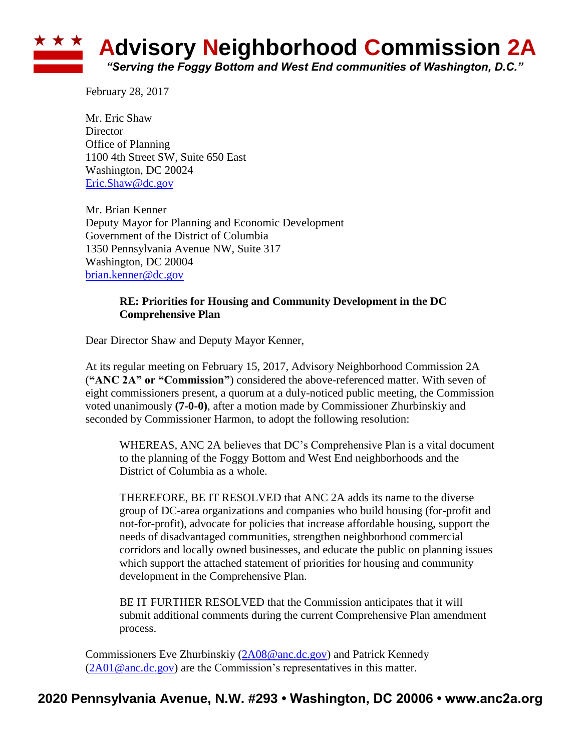## **Advisory Neighborhood Commission 2A** *"Serving the Foggy Bottom and West End communities of Washington, D.C."*

February 28, 2017

Mr. Eric Shaw **Director** Office of Planning 1100 4th Street SW, Suite 650 East Washington, DC 20024 [Eric.Shaw@dc.gov](mailto:Eric.Shaw@dc.gov)

Mr. Brian Kenner Deputy Mayor for Planning and Economic Development Government of the District of Columbia 1350 Pennsylvania Avenue NW, Suite 317 Washington, DC 20004 [brian.kenner@dc.gov](mailto:brian.kenner@dc.gov)

#### **RE: Priorities for Housing and Community Development in the DC Comprehensive Plan**

Dear Director Shaw and Deputy Mayor Kenner,

At its regular meeting on February 15, 2017, Advisory Neighborhood Commission 2A (**"ANC 2A" or "Commission"**) considered the above-referenced matter. With seven of eight commissioners present, a quorum at a duly-noticed public meeting, the Commission voted unanimously **(7-0-0)**, after a motion made by Commissioner Zhurbinskiy and seconded by Commissioner Harmon, to adopt the following resolution:

WHEREAS, ANC 2A believes that DC's Comprehensive Plan is a vital document to the planning of the Foggy Bottom and West End neighborhoods and the District of Columbia as a whole.

THEREFORE, BE IT RESOLVED that ANC 2A adds its name to the diverse group of DC-area organizations and companies who build housing (for-profit and not-for-profit), advocate for policies that increase affordable housing, support the needs of disadvantaged communities, strengthen neighborhood commercial corridors and locally owned businesses, and educate the public on planning issues which support the attached statement of priorities for housing and community development in the Comprehensive Plan.

BE IT FURTHER RESOLVED that the Commission anticipates that it will submit additional comments during the current Comprehensive Plan amendment process.

Commissioners Eve Zhurbinskiy [\(2A08@anc.dc.gov\)](mailto:2A08@anc.dc.gov) and Patrick Kennedy  $(2A01@anc.dc.gov)$  are the Commission's representatives in this matter.

### **2020 Pennsylvania Avenue, N.W. #293 • Washington, DC 20006 • www.anc2a.org**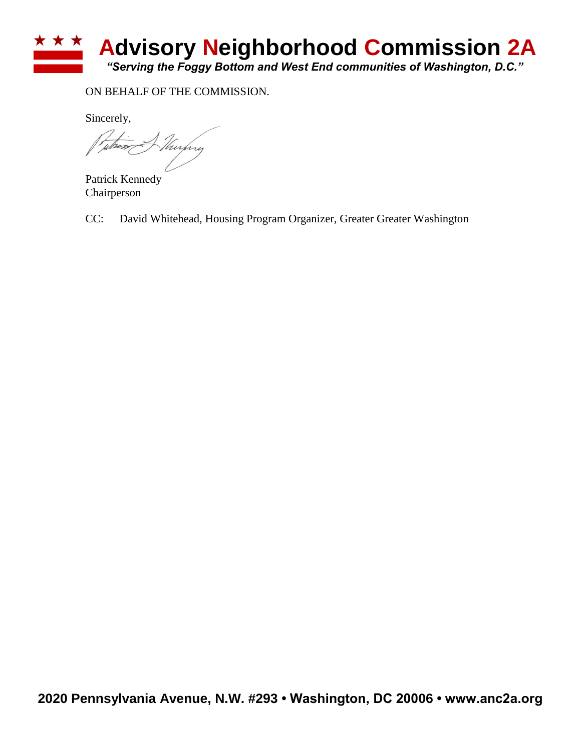#### ★ ★ ★ **Advisory Neighborhood Commission 2A** *"Serving the Foggy Bottom and West End communities of Washington, D.C."*

ON BEHALF OF THE COMMISSION.

Sincerely,

A Hurpry

Patrick Kennedy Chairperson

CC: David Whitehead, Housing Program Organizer, Greater Greater Washington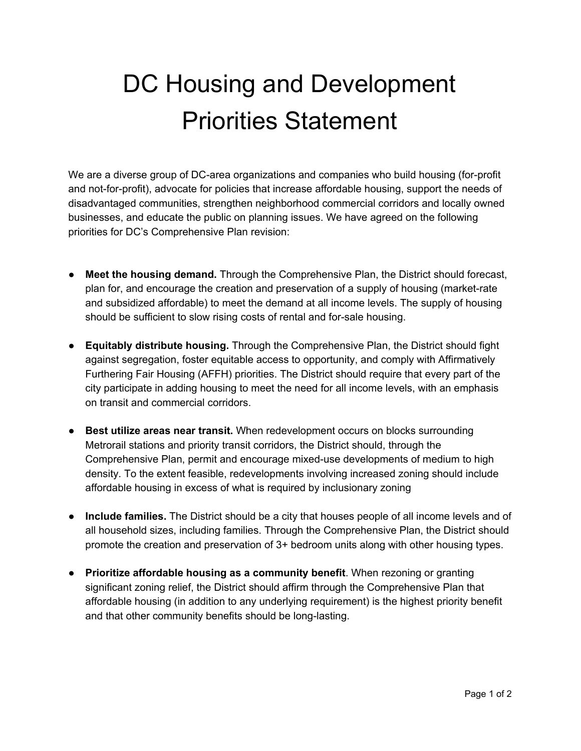# DC Housing and Development Priorities Statement

We are a diverse group of DC-area organizations and companies who build housing (for-profit and not-for-profit), advocate for policies that increase affordable housing, support the needs of disadvantaged communities, strengthen neighborhood commercial corridors and locally owned businesses, and educate the public on planning issues. We have agreed on the following priorities for DC's Comprehensive Plan revision:

- **Meet the housing demand.** Through the Comprehensive Plan, the District should forecast, plan for, and encourage the creation and preservation of a supply of housing (market-rate and subsidized affordable) to meet the demand at all income levels. The supply of housing should be sufficient to slow rising costs of rental and for-sale housing.
- **Equitably distribute housing.** Through the Comprehensive Plan, the District should fight against segregation, foster equitable access to opportunity, and comply with Affirmatively Furthering Fair Housing (AFFH) priorities. The District should require that every part of the city participate in adding housing to meet the need for all income levels, with an emphasis on transit and commercial corridors.
- **Best utilize areas near transit.** When redevelopment occurs on blocks surrounding Metrorail stations and priority transit corridors, the District should, through the Comprehensive Plan, permit and encourage mixed-use developments of medium to high density. To the extent feasible, redevelopments involving increased zoning should include affordable housing in excess of what is required by inclusionary zoning
- **Include families.** The District should be a city that houses people of all income levels and of all household sizes, including families. Through the Comprehensive Plan, the District should promote the creation and preservation of 3+ bedroom units along with other housing types.
- **Prioritize affordable housing as a community benefit**. When rezoning or granting significant zoning relief, the District should affirm through the Comprehensive Plan that affordable housing (in addition to any underlying requirement) is the highest priority benefit and that other community benefits should be long-lasting.